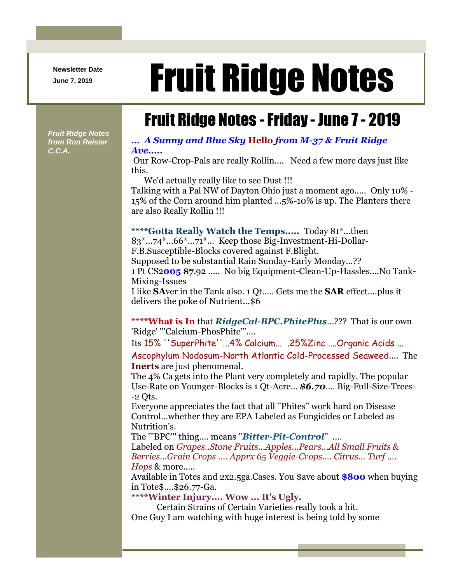**Newsletter Date**

# Newsletter Date **Fruit Ridge Notes**

## Fruit Ridge Notes -Friday - June 7 - 2019

*Fruit Ridge Notes from Ron Reister C.C.A.*

#### *... A Sunny and Blue Sky* **Hello** *from M-37 & Fruit Ridge Ave.....*

Our Row-Crop-Pals are really Rollin.... Need a few more days just like this.

We'd actually really like to see Dust !!!

Talking with a Pal NW of Dayton Ohio just a moment ago..... Only 10% - 15% of the Corn around him planted ...5%-10% is up. The Planters there are also Really Rollin !!!

**\*\*\*\*Gotta Really Watch the Temps.....** Today 81\*...then 83\*...74\*...66\*...71\*... Keep those Big-Investment-Hi-Dollar-F.B.Susceptible-Blocks covered against F.Blight. Supposed to be substantial Rain Sunday-Early Monday...?? 1 Pt CS2**005 \$7**.92 ..... No big Equipment-Clean-Up-Hassles....No Tank-Mixing-Issues

I like **SA**ver in the Tank also. 1 Qt..... Gets me the **SAR** effect....plus it delivers the poke of Nutrient...\$6

**\*\*\*\*What is In** that *RidgeCal-BPC.PhitePlus*...??? That is our own 'Ridge' '''Calcium-PhosPhite'''....

Its 15% ''SuperPhite''...4% Calcium... .25%Zinc ....Organic Acids ... Ascophylum Nodosum-North Atlantic Cold-Processed Seaweed.... The **Inerts** are just phenomenal.

The 4% Ca gets into the Plant very completely and rapidly. The popular Use-Rate on Younger-Blocks is 1 Qt-Acre... *\$6.70*.... Big-Full-Size-Trees-  $-2$  Ots.

Everyone appreciates the fact that all ''Phites'' work hard on Disease Control...whether they are EPA Labeled as Fungicides or Labeled as Nutrition's.

The '''BPC''' thing.... means ''*Bitter-Pit-Control*'' ....

Labeled on *Grapes..Stone Fruits...Apples...Pears...All Small Fruits & Berries...Grain Crops .... Apprx 65 Veggie-Crops.... Citrus... Turf .... Hops* & more.....

Available in Totes and 2x2.5ga.Cases. You \$ave about **\$800** when buying in Tote\$....\$26.77-Ga.

#### **\*\*\*\*Winter Injury.... Wow ... It's Ugly.**

Certain Strains of Certain Varieties really took a hit. One Guy I am watching with huge interest is being told by some